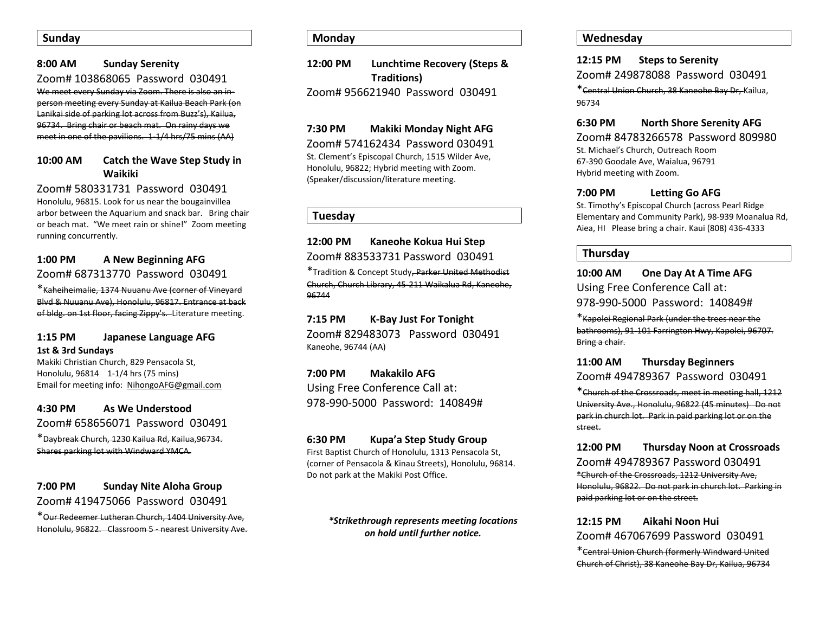#### **Sunday**

# **8:00 AM Sunday Serenity**

Zoom# 103868065 Password 030491

We meet every Sunday via Zoom. There is also an inperson meeting every Sunday at Kailua Beach Park (on Lanikai side of parking lot across from Buzz's), Kailua, 96734. Bring chair or beach mat. On rainy days we meet in one of the pavilions. 1-1/4 hrs/75 mins (AA)

## **10:00 AM Catch the Wave Step Study in Waikiki**

#### Zoom# 580331731 Password 030491

Honolulu, 96815. Look for us near the bougainvillea arbor between the Aquarium and snack bar. Bring chair or beach mat. "We meet rain or shine!" Zoom meeting running concurrently.

# **1:00 PM A New Beginning AFG** Zoom# 687313770 Password 030491

\*Kaheiheimalie, 1374 Nuuanu Ave (corner of Vineyard Blvd & Nuuanu Ave), Honolulu, 96817. Entrance at back of bldg. on 1st floor, facing Zippy's. Literature meeting.

#### **1:15 PM Japanese Language AFG 1st & 3rd Sundays**

Makiki Christian Church, 829 Pensacola St, Honolulu, 96814 1-1/4 hrs (75 mins) Email for meeting info: NihongoAFG@gmail.com

# **4:30 PM As We Understood**

Zoom# 658656071 Password 030491

\*Daybreak Church, 1230 Kailua Rd, Kailua,96734. Shares parking lot with Windward YMCA.

# **7:00 PM Sunday Nite Aloha Group** Zoom# 419475066 Password 030491

\*Our Redeemer Lutheran Church, 1404 University Ave, Honolulu, 96822. Classroom 5 - nearest University Ave.

#### **Monday**

**12:00 PM Lunchtime Recovery (Steps & Traditions)** Zoom# 956621940 Password 030491

#### **7:30 PM Makiki Monday Night AFG**

Zoom# 574162434 Password 030491 St. Clement's Episcopal Church, 1515 Wilder Ave, Honolulu, 96822; Hybrid meeting with Zoom. (Speaker/discussion/literature meeting.

#### **Tuesday**

# **12:00 PM Kaneohe Kokua Hui Step** Zoom# 883533731 Password 030491

\*Tradition & Concept Study, Parker United Methodist Church, Church Library, 45-211 Waikalua Rd, Kaneohe, 96744

#### **7:15 PM K-Bay Just For Tonight**

Zoom# 829483073 Password 030491 Kaneohe, 96744 (AA)

#### **7:00 PM Makakilo AFG**

Using Free Conference Call at: 978-990-5000 Password: 140849#

#### **6:30 PM Kupa'a Step Study Group**

First Baptist Church of Honolulu, 1313 Pensacola St, (corner of Pensacola & Kinau Streets), Honolulu, 96814. Do not park at the Makiki Post Office.

#### *\*Strikethrough represents meeting locations on hold until further notice.*

#### **Wednesday**

#### **12:15 PM Steps to Serenity** Zoom# 249878088 Password 030491

\*Central Union Church, 38 Kaneohe Bay Dr, Kailua,

96734

#### **6:30 PM North Shore Serenity AFG**

Zoom# 84783266578 Password 809980 St. Michael's Church, Outreach Room 67-390 Goodale Ave, Waialua, 96791 Hybrid meeting with Zoom.

#### **7:00 PM Letting Go AFG**

St. Timothy's Episcopal Church (across Pearl Ridge Elementary and Community Park), 98-939 Moanalua Rd, Aiea, HI Please bring a chair. Kaui (808) 436-4333

#### **Thursday**

**10:00 AM One Day At A Time AFG** Using Free Conference Call at: 978-990-5000 Password: 140849#

\*Kapolei Regional Park (under the trees near the bathrooms), 91-101 Farrington Hwy, Kapolei, 96707. Bring a chair.

# **11:00 AM Thursday Beginners** Zoom# 494789367 Password 030491

\*Church of the Crossroads, meet in meeting hall, 1212 University Ave., Honolulu, 96822 (45 minutes) Do not park in church lot. Park in paid parking lot or on the street.

## **12:00 PM Thursday Noon at Crossroads**  Zoom# 494789367 Password 030491

\*Church of the Crossroads, 1212 University Ave, Honolulu, 96822. Do not park in church lot. Parking in paid parking lot or on the street.

## **12:15 PM Aikahi Noon Hui** Zoom# 467067699 Password 030491

\*Central Union Church (formerly Windward United Church of Christ), 38 Kaneohe Bay Dr, Kailua, 96734